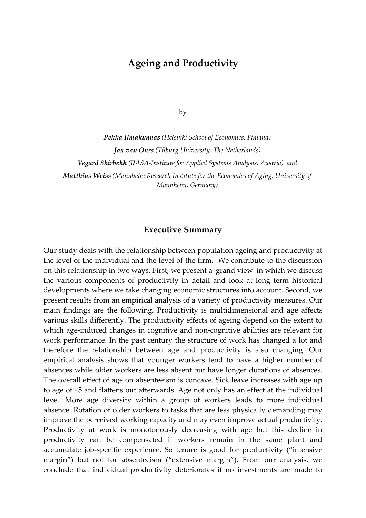## **Ageing and Productivity**

by

*Pekka Ilmakunnas (Helsinki School of Economics, Finland) Jan van Ours (Tilburg University, The Netherlands) Vegard Skirbekk (IIASA‐Institute for Applied Systems Analysis, Austria) and Matthias Weiss (Mannheim Research Institute for the Economics of Aging, University of Mannheim, Germany)*

## **Executive Summary**

Our study deals with the relationship between population ageing and productivity at the level of the individual and the level of the firm. We contribute to the discussion on this relationship in two ways. First, we present a ʹgrand viewʹ in which we discuss the various components of productivity in detail and look at long term historical developments where we take changing economic structures into account. Second, we present results from an empirical analysis of a variety of productivity measures. Our main findings are the following. Productivity is multidimensional and age affects various skills differently. The productivity effects of ageing depend on the extent to which age-induced changes in cognitive and non-cognitive abilities are relevant for work performance. In the past century the structure of work has changed a lot and therefore the relationship between age and productivity is also changing. Our empirical analysis shows that younger workers tend to have a higher number of absences while older workers are less absent but have longer durations of absences. The overall effect of age on absenteeism is concave. Sick leave increases with age up to age of 45 and flattens out afterwards. Age not only has an effect at the individual level. More age diversity within a group of workers leads to more individual absence. Rotation of older workers to tasks that are less physically demanding may improve the perceived working capacity and may even improve actual productivity. Productivity at work is monotonously decreasing with age but this decline in productivity can be compensated if workers remain in the same plant and accumulate job-specific experience. So tenure is good for productivity ("intensive margin") but not for absenteeism ("extensive margin"). From our analysis, we conclude that individual productivity deteriorates if no investments are made to